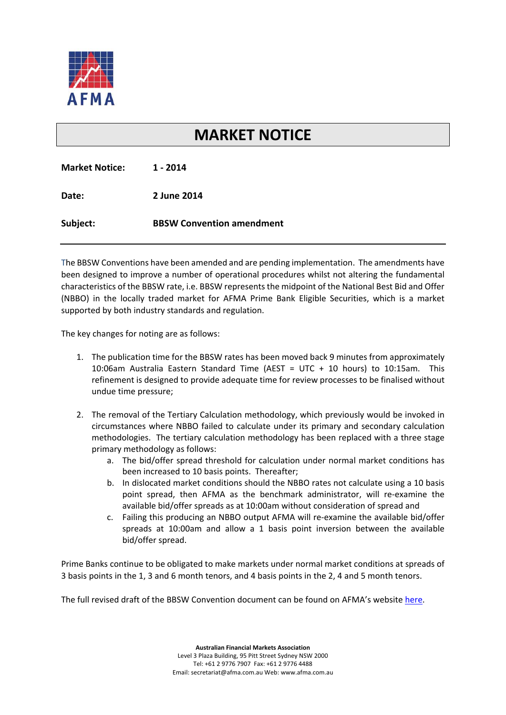

## **MARKET NOTICE**

| <b>Market Notice:</b> | 1 - 2014                         |
|-----------------------|----------------------------------|
| Date:                 | 2 June 2014                      |
| Subject:              | <b>BBSW Convention amendment</b> |

The BBSW Conventions have been amended and are pending implementation. The amendments have been designed to improve a number of operational procedures whilst not altering the fundamental characteristics of the BBSW rate, i.e. BBSW represents the midpoint of the National Best Bid and Offer (NBBO) in the locally traded market for AFMA Prime Bank Eligible Securities, which is a market supported by both industry standards and regulation.

The key changes for noting are as follows:

- 1. The publication time for the BBSW rates has been moved back 9 minutes from approximately 10:06am Australia Eastern Standard Time (AEST = UTC + 10 hours) to 10:15am. This refinement is designed to provide adequate time for review processes to be finalised without undue time pressure;
- 2. The removal of the Tertiary Calculation methodology, which previously would be invoked in circumstances where NBBO failed to calculate under its primary and secondary calculation methodologies. The tertiary calculation methodology has been replaced with a three stage primary methodology as follows:
	- a. The bid/offer spread threshold for calculation under normal market conditions has been increased to 10 basis points. Thereafter;
	- b. In dislocated market conditions should the NBBO rates not calculate using a 10 basis point spread, then AFMA as the benchmark administrator, will re-examine the available bid/offer spreads as at 10:00am without consideration of spread and
	- c. Failing this producing an NBBO output AFMA will re‐examine the available bid/offer spreads at 10:00am and allow a 1 basis point inversion between the available bid/offer spread.

Prime Banks continue to be obligated to make markets under normal market conditions at spreads of 3 basis points in the 1, 3 and 6 month tenors, and 4 basis points in the 2, 4 and 5 month tenors.

The full revised draft of the BBSW Convention document can be found on AFMA's website [here.](http://www.afma.com.au/standards/market-conventions/bbsw-general-conventions-DRAFT-1-July-2014.pdf)